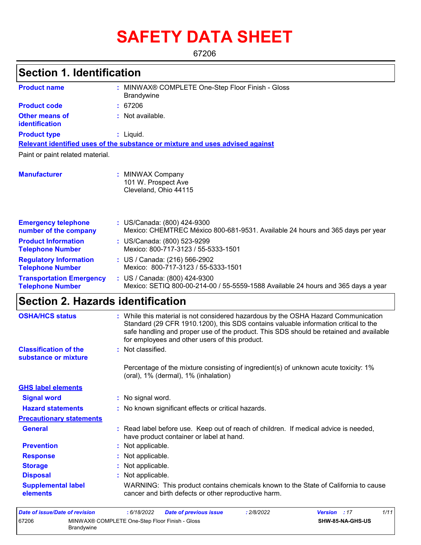# **SAFETY DATA SHEET**

67206

#### MINWAX® COMPLETE One-Step Floor Finish - Gloss **:** Brandywine **:** Not available. Liquid. **:** US/Canada: (800) 424-9300 **:** Mexico: CHEMTREC México 800-681-9531. Available 24 hours and 365 days per year **Product name Other means of identification Product type Emergency telephone number of the company Section 1. Identification Manufacturer :** MINWAX Company 101 W. Prospect Ave Cleveland, Ohio 44115 **Relevant identified uses of the substance or mixture and uses advised against** Paint or paint related material. **Product code :** 67206 **Product Information Telephone Number :** US/Canada: (800) 523-9299 Mexico: 800-717-3123 / 55-5333-1501 **Regulatory Information Telephone Number :** US / Canada: (216) 566-2902 Mexico: 800-717-3123 / 55-5333-1501 **Transportation Emergency Telephone Number :** US / Canada: (800) 424-9300 Mexico: SETIQ 800-00-214-00 / 55-5559-1588 Available 24 hours and 365 days a year **Section 2. Hazards identification Classification of the substance or mixture :** Percentage of the mixture consisting of ingredient(s) of unknown acute toxicity: 1% (oral), 1% (dermal), 1% (inhalation) **OSHA/HCS status :** While this material is not considered hazardous by the OSHA Hazard Communication Standard (29 CFR 1910.1200), this SDS contains valuable information critical to the safe handling and proper use of the product. This SDS should be retained and available for employees and other users of this product.

**Signal word :** No signal word. **Precautionary statements Prevention :** Not applicable. **Response :** Not applicable. **Storage :** Not applicable. **Disposal Contract Exercise Exercise :** Not applicable. **GHS label elements General :** Read label before use. Keep out of reach of children. If medical advice is needed, have product container or label at hand. **Hazard statements :** No known significant effects or critical hazards. **Supplemental label elements** WARNING: This product contains chemicals known to the State of California to cause cancer and birth defects or other reproductive harm.

| Date of issue/Date of revision |                                                              | : 6/18/2022 | <b>Date of previous issue</b> | 2/8/2022 | <b>Version</b> : 17 |                         | 1/11 |
|--------------------------------|--------------------------------------------------------------|-------------|-------------------------------|----------|---------------------|-------------------------|------|
| 67206                          | MINWAX® COMPLETE One-Step Floor Finish - Gloss<br>Brandywine |             |                               |          |                     | <b>SHW-85-NA-GHS-US</b> |      |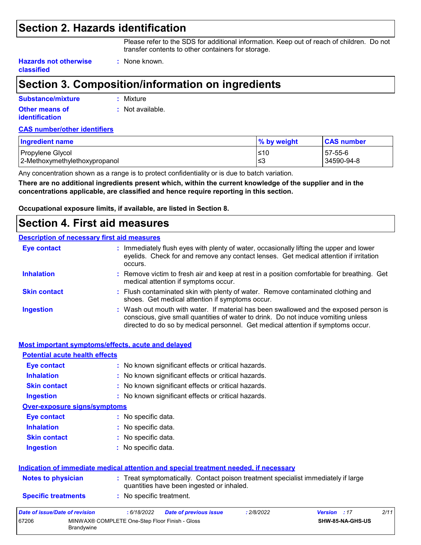## **Section 2. Hazards identification**

Please refer to the SDS for additional information. Keep out of reach of children. Do not transfer contents to other containers for storage.

**Hazards not otherwise classified**

#### **:** None known.

## **Section 3. Composition/information on ingredients**

| Substance/mixture                       | : Mixture                   |
|-----------------------------------------|-----------------------------|
| Other means of<br><i>identification</i> | $\therefore$ Not available. |
|                                         |                             |

#### **CAS number/other identifiers**

| <b>Ingredient name</b>        | $\%$ by weight | <b>CAS number</b> |
|-------------------------------|----------------|-------------------|
| Propylene Glycol              | ≤10            | $57-55-6$         |
| 2-Methoxymethylethoxypropanol | ≤3             | 34590-94-8        |

Any concentration shown as a range is to protect confidentiality or is due to batch variation.

**There are no additional ingredients present which, within the current knowledge of the supplier and in the concentrations applicable, are classified and hence require reporting in this section.**

**Occupational exposure limits, if available, are listed in Section 8.**

### **Section 4. First aid measures**

#### **Description of necessary first aid measures**

| <b>Eye contact</b>  | : Immediately flush eyes with plenty of water, occasionally lifting the upper and lower<br>eyelids. Check for and remove any contact lenses. Get medical attention if irritation<br>occurs.                                                                    |
|---------------------|----------------------------------------------------------------------------------------------------------------------------------------------------------------------------------------------------------------------------------------------------------------|
| <b>Inhalation</b>   | : Remove victim to fresh air and keep at rest in a position comfortable for breathing. Get<br>medical attention if symptoms occur.                                                                                                                             |
| <b>Skin contact</b> | : Flush contaminated skin with plenty of water. Remove contaminated clothing and<br>shoes. Get medical attention if symptoms occur.                                                                                                                            |
| <b>Ingestion</b>    | : Wash out mouth with water. If material has been swallowed and the exposed person is<br>conscious, give small quantities of water to drink. Do not induce vomiting unless<br>directed to do so by medical personnel. Get medical attention if symptoms occur. |

|                                                                            | <b>Most important symptoms/effects, acute and delayed</b>                                                                      |  |  |  |  |  |  |  |
|----------------------------------------------------------------------------|--------------------------------------------------------------------------------------------------------------------------------|--|--|--|--|--|--|--|
| <b>Potential acute health effects</b>                                      |                                                                                                                                |  |  |  |  |  |  |  |
| Eye contact                                                                | : No known significant effects or critical hazards.                                                                            |  |  |  |  |  |  |  |
| <b>Inhalation</b><br>: No known significant effects or critical hazards.   |                                                                                                                                |  |  |  |  |  |  |  |
| : No known significant effects or critical hazards.<br><b>Skin contact</b> |                                                                                                                                |  |  |  |  |  |  |  |
| : No known significant effects or critical hazards.<br><b>Ingestion</b>    |                                                                                                                                |  |  |  |  |  |  |  |
| <b>Over-exposure signs/symptoms</b>                                        |                                                                                                                                |  |  |  |  |  |  |  |
| <b>Eye contact</b>                                                         | : No specific data.                                                                                                            |  |  |  |  |  |  |  |
| <b>Inhalation</b>                                                          | : No specific data.                                                                                                            |  |  |  |  |  |  |  |
| <b>Skin contact</b>                                                        | : No specific data.                                                                                                            |  |  |  |  |  |  |  |
| <b>Ingestion</b>                                                           | : No specific data.                                                                                                            |  |  |  |  |  |  |  |
|                                                                            | Indication of immediate medical attention and special treatment needed, if necessary                                           |  |  |  |  |  |  |  |
| <b>Notes to physician</b>                                                  | : Treat symptomatically. Contact poison treatment specialist immediately if large<br>quantities have been ingested or inhaled. |  |  |  |  |  |  |  |
| <b>Specific treatments</b>                                                 | : No specific treatment.                                                                                                       |  |  |  |  |  |  |  |
| Date of issue/Date of revision                                             | 2/11<br>: 2/8/2022<br>: 6/18/2022<br><b>Date of previous issue</b><br><b>Version</b><br>:17                                    |  |  |  |  |  |  |  |
| 67206<br><b>Brandvwine</b>                                                 | MINWAX® COMPLETE One-Step Floor Finish - Gloss<br>SHW-85-NA-GHS-US                                                             |  |  |  |  |  |  |  |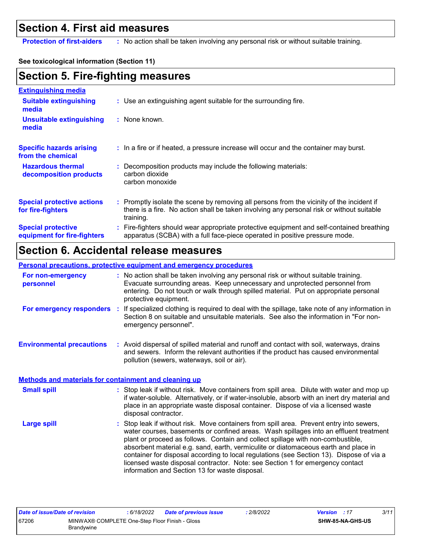### **Section 4. First aid measures**

**Protection of first-aiders** : No action shall be taken involving any personal risk or without suitable training.

#### **See toxicological information (Section 11)**

## **Section 5. Fire-fighting measures**

| <b>Extinguishing media</b>                               |                                                                                                                                                                                                     |
|----------------------------------------------------------|-----------------------------------------------------------------------------------------------------------------------------------------------------------------------------------------------------|
| <b>Suitable extinguishing</b><br>media                   | : Use an extinguishing agent suitable for the surrounding fire.                                                                                                                                     |
| <b>Unsuitable extinguishing</b><br>media                 | $:$ None known.                                                                                                                                                                                     |
| <b>Specific hazards arising</b><br>from the chemical     | : In a fire or if heated, a pressure increase will occur and the container may burst.                                                                                                               |
| <b>Hazardous thermal</b><br>decomposition products       | : Decomposition products may include the following materials:<br>carbon dioxide<br>carbon monoxide                                                                                                  |
| <b>Special protective actions</b><br>for fire-fighters   | : Promptly isolate the scene by removing all persons from the vicinity of the incident if<br>there is a fire. No action shall be taken involving any personal risk or without suitable<br>training. |
| <b>Special protective</b><br>equipment for fire-fighters | : Fire-fighters should wear appropriate protective equipment and self-contained breathing<br>apparatus (SCBA) with a full face-piece operated in positive pressure mode.                            |

## **Section 6. Accidental release measures**

#### **Personal precautions, protective equipment and emergency procedures**

| For non-emergency<br>personnel                               | : No action shall be taken involving any personal risk or without suitable training.<br>Evacuate surrounding areas. Keep unnecessary and unprotected personnel from<br>entering. Do not touch or walk through spilled material. Put on appropriate personal<br>protective equipment.                     |  |
|--------------------------------------------------------------|----------------------------------------------------------------------------------------------------------------------------------------------------------------------------------------------------------------------------------------------------------------------------------------------------------|--|
| For emergency responders                                     | : If specialized clothing is required to deal with the spillage, take note of any information in<br>Section 8 on suitable and unsuitable materials. See also the information in "For non-<br>emergency personnel".                                                                                       |  |
| <b>Environmental precautions</b>                             | : Avoid dispersal of spilled material and runoff and contact with soil, waterways, drains<br>and sewers. Inform the relevant authorities if the product has caused environmental<br>pollution (sewers, waterways, soil or air).                                                                          |  |
| <b>Methods and materials for containment and cleaning up</b> |                                                                                                                                                                                                                                                                                                          |  |
| <b>Small spill</b>                                           | : Stop leak if without risk. Move containers from spill area. Dilute with water and mop up<br>if water-soluble. Alternatively, or if water-insoluble, absorb with an inert dry material and<br>place in an appropriate waste disposal container. Dispose of via a licensed waste<br>disposal contractor. |  |
| <b>Large spill</b>                                           | : Stop leak if without risk. Move containers from spill area. Prevent entry into sewers,<br>water courses, basements or confined areas. Wash spillages into an effluent treatment<br>plant or procood as follows. Contain and collect spillage with non-combustible                                      |  |

plant or proceed as follows. Contain and collect spillage with non-combustible, absorbent material e.g. sand, earth, vermiculite or diatomaceous earth and place in container for disposal according to local regulations (see Section 13). Dispose of via a licensed waste disposal contractor. Note: see Section 1 for emergency contact information and Section 13 for waste disposal.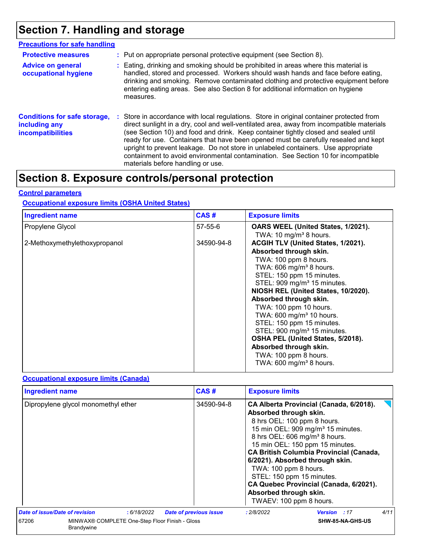## **Section 7. Handling and storage**

| <b>Precautions for safe handling</b>                                      |     |                                                                                                                                                                                                                                                                                                                                                                                                                                                                                                                                                                                  |
|---------------------------------------------------------------------------|-----|----------------------------------------------------------------------------------------------------------------------------------------------------------------------------------------------------------------------------------------------------------------------------------------------------------------------------------------------------------------------------------------------------------------------------------------------------------------------------------------------------------------------------------------------------------------------------------|
| <b>Protective measures</b>                                                |     | : Put on appropriate personal protective equipment (see Section 8).                                                                                                                                                                                                                                                                                                                                                                                                                                                                                                              |
| <b>Advice on general</b><br>occupational hygiene                          |     | : Eating, drinking and smoking should be prohibited in areas where this material is<br>handled, stored and processed. Workers should wash hands and face before eating,<br>drinking and smoking. Remove contaminated clothing and protective equipment before<br>entering eating areas. See also Section 8 for additional information on hygiene<br>measures.                                                                                                                                                                                                                    |
| <b>Conditions for safe storage,</b><br>including any<br>incompatibilities | з., | Store in accordance with local regulations. Store in original container protected from<br>direct sunlight in a dry, cool and well-ventilated area, away from incompatible materials<br>(see Section 10) and food and drink. Keep container tightly closed and sealed until<br>ready for use. Containers that have been opened must be carefully resealed and kept<br>upright to prevent leakage. Do not store in unlabeled containers. Use appropriate<br>containment to avoid environmental contamination. See Section 10 for incompatible<br>materials before handling or use. |

## **Section 8. Exposure controls/personal protection**

#### **Control parameters**

#### **Occupational exposure limits (OSHA United States)**

| <b>Ingredient name</b>        | CAS#          | <b>Exposure limits</b>                                                                                                                                                                                                                                                                                                                                                                                                                                                                                                                         |
|-------------------------------|---------------|------------------------------------------------------------------------------------------------------------------------------------------------------------------------------------------------------------------------------------------------------------------------------------------------------------------------------------------------------------------------------------------------------------------------------------------------------------------------------------------------------------------------------------------------|
| Propylene Glycol              | $57 - 55 - 6$ | OARS WEEL (United States, 1/2021).<br>TWA: 10 mg/m <sup>3</sup> 8 hours.                                                                                                                                                                                                                                                                                                                                                                                                                                                                       |
| 2-Methoxymethylethoxypropanol | 34590-94-8    | ACGIH TLV (United States, 1/2021).<br>Absorbed through skin.<br>TWA: 100 ppm 8 hours.<br>TWA: 606 mg/m <sup>3</sup> 8 hours.<br>STEL: 150 ppm 15 minutes.<br>STEL: 909 mg/m <sup>3</sup> 15 minutes.<br>NIOSH REL (United States, 10/2020).<br>Absorbed through skin.<br>TWA: 100 ppm 10 hours.<br>TWA: 600 mg/m <sup>3</sup> 10 hours.<br>STEL: 150 ppm 15 minutes.<br>STEL: 900 mg/m <sup>3</sup> 15 minutes.<br>OSHA PEL (United States, 5/2018).<br>Absorbed through skin.<br>TWA: 100 ppm 8 hours.<br>TWA: 600 mg/m <sup>3</sup> 8 hours. |

#### **Occupational exposure limits (Canada)**

| <b>Ingredient name</b>         |                                                              |             |                               | CAS#       | <b>Exposure limits</b>                                                                                                                                                                                        |                                                                                                                                                                                                                                                            |      |
|--------------------------------|--------------------------------------------------------------|-------------|-------------------------------|------------|---------------------------------------------------------------------------------------------------------------------------------------------------------------------------------------------------------------|------------------------------------------------------------------------------------------------------------------------------------------------------------------------------------------------------------------------------------------------------------|------|
|                                | Dipropylene glycol monomethyl ether                          |             |                               | 34590-94-8 | Absorbed through skin.<br>8 hrs OEL: 100 ppm 8 hours.<br>8 hrs OEL: 606 mg/m <sup>3</sup> 8 hours.<br>TWA: 100 ppm 8 hours.<br>STEL: 150 ppm 15 minutes.<br>Absorbed through skin.<br>TWAEV: 100 ppm 8 hours. | CA Alberta Provincial (Canada, 6/2018).<br>15 min OEL: 909 mg/m <sup>3</sup> 15 minutes.<br>15 min OEL: 150 ppm 15 minutes.<br><b>CA British Columbia Provincial (Canada,</b><br>6/2021). Absorbed through skin.<br>CA Quebec Provincial (Canada, 6/2021). |      |
| Date of issue/Date of revision |                                                              | : 6/18/2022 | <b>Date of previous issue</b> |            | : 2/8/2022                                                                                                                                                                                                    | <b>Version</b> : 17                                                                                                                                                                                                                                        | 4/11 |
| 67206                          | MINWAX® COMPLETE One-Step Floor Finish - Gloss<br>Brandywine |             |                               |            |                                                                                                                                                                                                               | SHW-85-NA-GHS-US                                                                                                                                                                                                                                           |      |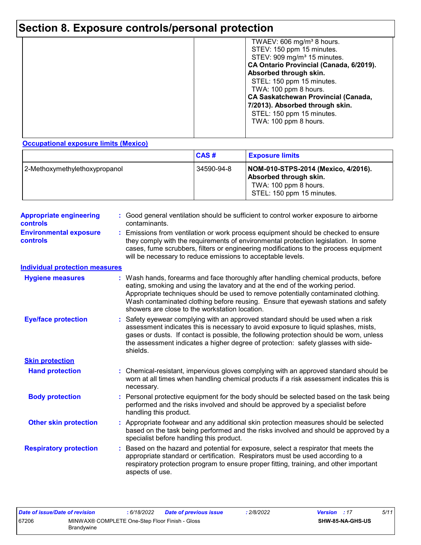## **Section 8. Exposure controls/personal protection**

|  | TWAEV: 606 mg/m <sup>3</sup> 8 hours.<br>STEV: 150 ppm 15 minutes.<br>STEV: 909 mg/m <sup>3</sup> 15 minutes.<br>CA Ontario Provincial (Canada, 6/2019).<br>Absorbed through skin.<br>STEL: 150 ppm 15 minutes.<br>TWA: 100 ppm 8 hours.<br><b>CA Saskatchewan Provincial (Canada,</b><br>7/2013). Absorbed through skin.<br>STEL: 150 ppm 15 minutes.<br>TWA: 100 ppm 8 hours. |
|--|---------------------------------------------------------------------------------------------------------------------------------------------------------------------------------------------------------------------------------------------------------------------------------------------------------------------------------------------------------------------------------|
|--|---------------------------------------------------------------------------------------------------------------------------------------------------------------------------------------------------------------------------------------------------------------------------------------------------------------------------------------------------------------------------------|

**Occupational exposure limits (Mexico)**

|                               | CAS#       | <b>Exposure limits</b>                                                                                              |
|-------------------------------|------------|---------------------------------------------------------------------------------------------------------------------|
| 2-Methoxymethylethoxypropanol | 34590-94-8 | NOM-010-STPS-2014 (Mexico, 4/2016).<br>Absorbed through skin.<br>TWA: 100 ppm 8 hours.<br>STEL: 150 ppm 15 minutes. |

| <b>Appropriate engineering</b><br><b>controls</b> | : Good general ventilation should be sufficient to control worker exposure to airborne<br>contaminants.                                                                                                                                                                                                                                                                                           |
|---------------------------------------------------|---------------------------------------------------------------------------------------------------------------------------------------------------------------------------------------------------------------------------------------------------------------------------------------------------------------------------------------------------------------------------------------------------|
| <b>Environmental exposure</b><br><b>controls</b>  | : Emissions from ventilation or work process equipment should be checked to ensure<br>they comply with the requirements of environmental protection legislation. In some<br>cases, fume scrubbers, filters or engineering modifications to the process equipment<br>will be necessary to reduce emissions to acceptable levels.                                                                   |
| <b>Individual protection measures</b>             |                                                                                                                                                                                                                                                                                                                                                                                                   |
| <b>Hygiene measures</b>                           | : Wash hands, forearms and face thoroughly after handling chemical products, before<br>eating, smoking and using the lavatory and at the end of the working period.<br>Appropriate techniques should be used to remove potentially contaminated clothing.<br>Wash contaminated clothing before reusing. Ensure that eyewash stations and safety<br>showers are close to the workstation location. |
| <b>Eye/face protection</b>                        | : Safety eyewear complying with an approved standard should be used when a risk<br>assessment indicates this is necessary to avoid exposure to liquid splashes, mists,<br>gases or dusts. If contact is possible, the following protection should be worn, unless<br>the assessment indicates a higher degree of protection: safety glasses with side-<br>shields.                                |
| <b>Skin protection</b>                            |                                                                                                                                                                                                                                                                                                                                                                                                   |
| <b>Hand protection</b>                            | : Chemical-resistant, impervious gloves complying with an approved standard should be<br>worn at all times when handling chemical products if a risk assessment indicates this is<br>necessary.                                                                                                                                                                                                   |
| <b>Body protection</b>                            | : Personal protective equipment for the body should be selected based on the task being<br>performed and the risks involved and should be approved by a specialist before<br>handling this product.                                                                                                                                                                                               |
| <b>Other skin protection</b>                      | : Appropriate footwear and any additional skin protection measures should be selected<br>based on the task being performed and the risks involved and should be approved by a<br>specialist before handling this product.                                                                                                                                                                         |
| <b>Respiratory protection</b>                     | Based on the hazard and potential for exposure, select a respirator that meets the<br>appropriate standard or certification. Respirators must be used according to a<br>respiratory protection program to ensure proper fitting, training, and other important<br>aspects of use.                                                                                                                 |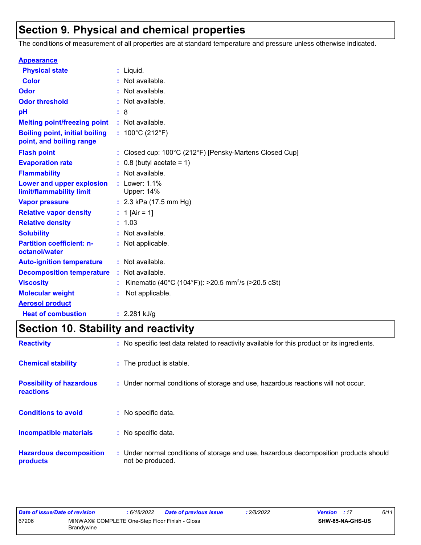## **Section 9. Physical and chemical properties**

The conditions of measurement of all properties are at standard temperature and pressure unless otherwise indicated.

| <b>Appearance</b>                                                 |    |                                                                |
|-------------------------------------------------------------------|----|----------------------------------------------------------------|
| <b>Physical state</b>                                             | t. | Liquid.                                                        |
| <b>Color</b>                                                      |    | Not available.                                                 |
| Odor                                                              |    | Not available.                                                 |
| <b>Odor threshold</b>                                             |    | Not available.                                                 |
| pH                                                                |    | 8                                                              |
| <b>Melting point/freezing point</b>                               |    | : Not available.                                               |
| <b>Boiling point, initial boiling</b><br>point, and boiling range |    | : $100^{\circ}$ C (212 $^{\circ}$ F)                           |
| <b>Flash point</b>                                                |    | Closed cup: 100°C (212°F) [Pensky-Martens Closed Cup]          |
| <b>Evaporation rate</b>                                           |    | $0.8$ (butyl acetate = 1)                                      |
| <b>Flammability</b>                                               |    | Not available.                                                 |
| Lower and upper explosion<br>limit/flammability limit             |    | Lower: 1.1%<br>Upper: 14%                                      |
| <b>Vapor pressure</b>                                             |    | : $2.3$ kPa (17.5 mm Hg)                                       |
| <b>Relative vapor density</b>                                     |    | 1 [Air = 1]                                                    |
| <b>Relative density</b>                                           | t. | 1.03                                                           |
| <b>Solubility</b>                                                 |    | Not available.                                                 |
| <b>Partition coefficient: n-</b><br>octanol/water                 |    | : Not applicable.                                              |
| <b>Auto-ignition temperature</b>                                  |    | : Not available.                                               |
| <b>Decomposition temperature</b>                                  |    | : Not available.                                               |
| <b>Viscosity</b>                                                  |    | Kinematic (40°C (104°F)): >20.5 mm <sup>2</sup> /s (>20.5 cSt) |
| <b>Molecular weight</b>                                           |    | Not applicable.                                                |
| <b>Aerosol product</b>                                            |    |                                                                |
| <b>Heat of combustion</b>                                         |    | : $2.281$ kJ/g                                                 |

## **Section 10. Stability and reactivity**

| <b>Reactivity</b>                                   | : No specific test data related to reactivity available for this product or its ingredients.              |
|-----------------------------------------------------|-----------------------------------------------------------------------------------------------------------|
| <b>Chemical stability</b>                           | : The product is stable.                                                                                  |
| <b>Possibility of hazardous</b><br><b>reactions</b> | : Under normal conditions of storage and use, hazardous reactions will not occur.                         |
| <b>Conditions to avoid</b>                          | : No specific data.                                                                                       |
| <b>Incompatible materials</b>                       | : No specific data.                                                                                       |
| <b>Hazardous decomposition</b><br>products          | : Under normal conditions of storage and use, hazardous decomposition products should<br>not be produced. |

| Date of issue/Date of revision |                                                              | 6/18/2022 | <b>Date of previous issue</b> | 2/8/2022 | <b>Version</b> : 17 |                         | 6/11 |
|--------------------------------|--------------------------------------------------------------|-----------|-------------------------------|----------|---------------------|-------------------------|------|
| 67206                          | MINWAX® COMPLETE One-Step Floor Finish - Gloss<br>Brandywine |           |                               |          |                     | <b>SHW-85-NA-GHS-US</b> |      |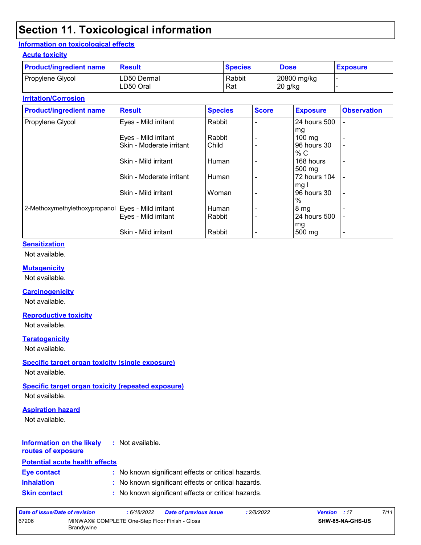## **Section 11. Toxicological information**

#### **Information on toxicological effects**

#### **Acute toxicity**

| <b>Product/ingredient name</b> | <b>Result</b>            | <b>Species</b> | <b>Dose</b>              | <b>Exposure</b> |
|--------------------------------|--------------------------|----------------|--------------------------|-----------------|
| Propylene Glycol               | LD50 Dermal<br>LD50 Oral | Rabbit<br>Rat  | 20800 mg/kg<br>$20$ g/kg |                 |

#### **Irritation/Corrosion**

| <b>Product/ingredient name</b>                       | <b>Result</b>            | <b>Species</b> | <b>Score</b> | <b>Exposure</b>  | <b>Observation</b>       |
|------------------------------------------------------|--------------------------|----------------|--------------|------------------|--------------------------|
| Propylene Glycol                                     | Eyes - Mild irritant     | Rabbit         |              | 24 hours 500     | ۰                        |
|                                                      |                          |                |              | mg               |                          |
|                                                      | Eyes - Mild irritant     | Rabbit         |              | $100 \text{ mg}$ | -                        |
|                                                      | Skin - Moderate irritant | Child          |              | 96 hours 30      | $\overline{\phantom{0}}$ |
|                                                      |                          |                |              | % C              |                          |
|                                                      | Skin - Mild irritant     | Human          |              | 168 hours        | -                        |
|                                                      |                          |                |              | 500 mg           |                          |
|                                                      | Skin - Moderate irritant | Human          |              | 72 hours 104     |                          |
|                                                      |                          |                |              | mg I             |                          |
|                                                      | Skin - Mild irritant     | Woman          |              | 96 hours 30      | $\overline{\phantom{a}}$ |
|                                                      |                          |                |              | $\%$             |                          |
| 2-Methoxymethylethoxypropanol   Eyes - Mild irritant |                          | Human          |              | 8 <sub>mg</sub>  |                          |
|                                                      | Eyes - Mild irritant     | Rabbit         |              | 24 hours 500     |                          |
|                                                      |                          |                |              | mg               |                          |
|                                                      | Skin - Mild irritant     | Rabbit         |              | 500 mg           | $\overline{\phantom{a}}$ |

#### **Sensitization**

Not available.

#### **Mutagenicity**

Not available.

#### **Carcinogenicity**

Not available.

#### **Reproductive toxicity**

Not available.

#### **Teratogenicity**

Not available.

#### **Specific target organ toxicity (single exposure)**

Not available.

#### **Specific target organ toxicity (repeated exposure)**

Not available.

#### **Aspiration hazard**

Not available.

#### **Information on the likely :** Not available.

## **routes of exposure**

#### **Inhalation :** No known significant effects or critical hazards. **Skin contact :** No known significant effects or critical hazards. **Eye contact :** No known significant effects or critical hazards. **Potential acute health effects**

| Date of issue/Date of revision |                                                              | : 6/18/2022 | <b>Date of previous issue</b> | .2/8/2022 | <b>Version</b> : 17 |                         | 7/11 |
|--------------------------------|--------------------------------------------------------------|-------------|-------------------------------|-----------|---------------------|-------------------------|------|
| 67206                          | MINWAX® COMPLETE One-Step Floor Finish - Gloss<br>Brandywine |             |                               |           |                     | <b>SHW-85-NA-GHS-US</b> |      |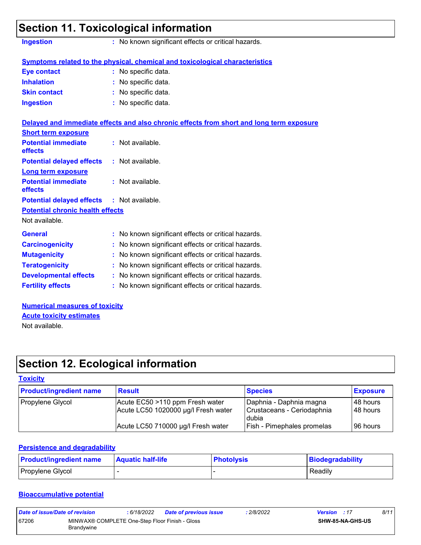|                                       | Section 11. Toxicological information                                                    |
|---------------------------------------|------------------------------------------------------------------------------------------|
| <b>Ingestion</b>                      | : No known significant effects or critical hazards.                                      |
|                                       | Symptoms related to the physical, chemical and toxicological characteristics             |
| Eye contact                           | : No specific data.                                                                      |
| <b>Inhalation</b>                     | : No specific data.                                                                      |
| <b>Skin contact</b>                   | : No specific data.                                                                      |
| <b>Ingestion</b>                      | : No specific data.                                                                      |
|                                       | Delayed and immediate effects and also chronic effects from short and long term exposure |
| <b>Short term exposure</b>            |                                                                                          |
| <b>Potential immediate</b><br>effects | : Not available.                                                                         |
| <b>Potential delayed effects</b>      | : Not available.                                                                         |
| <b>Long term exposure</b>             |                                                                                          |
| <b>Potential immediate</b><br>effects | : Not available.                                                                         |
| <b>Potential delayed effects</b>      | : Not available.                                                                         |

#### **Potential chronic health effects**

Not available.

| <b>General</b>               | : No known significant effects or critical hazards. |  |
|------------------------------|-----------------------------------------------------|--|
| <b>Carcinogenicity</b>       | : No known significant effects or critical hazards. |  |
| <b>Mutagenicity</b>          | : No known significant effects or critical hazards. |  |
| <b>Teratogenicity</b>        | : No known significant effects or critical hazards. |  |
| <b>Developmental effects</b> | : No known significant effects or critical hazards. |  |
| <b>Fertility effects</b>     | : No known significant effects or critical hazards. |  |

**Numerical measures of toxicity** Not available. **Acute toxicity estimates**

## **Section 12. Ecological information**

#### **Toxicity**

| <b>Product/ingredient name</b> | <b>Result</b>                                                          | <b>Species</b>                                                 | <b>Exposure</b>        |
|--------------------------------|------------------------------------------------------------------------|----------------------------------------------------------------|------------------------|
| Propylene Glycol               | Acute EC50 >110 ppm Fresh water<br>Acute LC50 1020000 µg/l Fresh water | Daphnia - Daphnia magna<br>Crustaceans - Ceriodaphnia<br>dubia | 148 hours<br>148 hours |
|                                | Acute LC50 710000 µg/l Fresh water                                     | <b>Fish - Pimephales promelas</b>                              | 196 hours              |

#### **Persistence and degradability**

| <b>Product/ingredient name</b> | <b>Aquatic half-life</b> | <b>Photolysis</b> | Biodegradability |
|--------------------------------|--------------------------|-------------------|------------------|
| Propylene Glycol               |                          |                   | Readily          |

#### **Bioaccumulative potential**

| Date of issue/Date of revision |                                                              | : 6/18/2022 | <b>Date of previous issue</b> | 2/8/2022 | <b>Version</b> : 17 |                         | 8/11 |
|--------------------------------|--------------------------------------------------------------|-------------|-------------------------------|----------|---------------------|-------------------------|------|
| 67206                          | MINWAX® COMPLETE One-Step Floor Finish - Gloss<br>Brandywine |             |                               |          |                     | <b>SHW-85-NA-GHS-US</b> |      |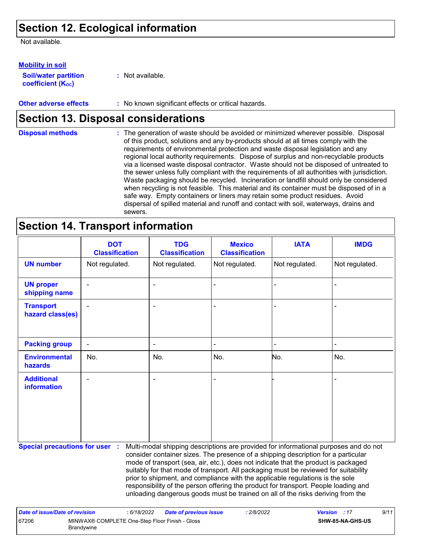## **Section 12. Ecological information**

Not available.

**Soil/water partition coefficient (K**<sup>oc</sup>) **Mobility in soil**

**:** Not available.

**Other adverse effects** : No known significant effects or critical hazards.

## **Section 13. Disposal considerations**

The generation of waste should be avoided or minimized wherever possible. Disposal of this product, solutions and any by-products should at all times comply with the requirements of environmental protection and waste disposal legislation and any regional local authority requirements. Dispose of surplus and non-recyclable products via a licensed waste disposal contractor. Waste should not be disposed of untreated to the sewer unless fully compliant with the requirements of all authorities with jurisdiction. Waste packaging should be recycled. Incineration or landfill should only be considered when recycling is not feasible. This material and its container must be disposed of in a safe way. Empty containers or liners may retain some product residues. Avoid dispersal of spilled material and runoff and contact with soil, waterways, drains and sewers. **Disposal methods :**

## **Section 14. Transport information**

67206 MINWAX® COMPLETE One-Step Floor Finish - Gloss

Brandywine

|                                                                                                                                                                                                                                                                                                                                                                                                                                                                                                                                                                                                                                                            | <b>DOT</b><br><b>Classification</b> | <b>TDG</b><br><b>Classification</b> | <b>Mexico</b><br><b>Classification</b> | <b>IATA</b>    | <b>IMDG</b>    |  |  |
|------------------------------------------------------------------------------------------------------------------------------------------------------------------------------------------------------------------------------------------------------------------------------------------------------------------------------------------------------------------------------------------------------------------------------------------------------------------------------------------------------------------------------------------------------------------------------------------------------------------------------------------------------------|-------------------------------------|-------------------------------------|----------------------------------------|----------------|----------------|--|--|
| <b>UN number</b>                                                                                                                                                                                                                                                                                                                                                                                                                                                                                                                                                                                                                                           | Not regulated.                      | Not regulated.                      | Not regulated.                         | Not regulated. | Not regulated. |  |  |
| <b>UN proper</b><br>shipping name                                                                                                                                                                                                                                                                                                                                                                                                                                                                                                                                                                                                                          |                                     | $\blacksquare$                      |                                        |                |                |  |  |
| <b>Transport</b><br>hazard class(es)                                                                                                                                                                                                                                                                                                                                                                                                                                                                                                                                                                                                                       |                                     |                                     |                                        |                |                |  |  |
| <b>Packing group</b>                                                                                                                                                                                                                                                                                                                                                                                                                                                                                                                                                                                                                                       |                                     |                                     |                                        |                |                |  |  |
| <b>Environmental</b><br>hazards                                                                                                                                                                                                                                                                                                                                                                                                                                                                                                                                                                                                                            | No.                                 | No.                                 | No.                                    | No.            | No.            |  |  |
| <b>Additional</b><br><b>information</b>                                                                                                                                                                                                                                                                                                                                                                                                                                                                                                                                                                                                                    |                                     | $\overline{\phantom{a}}$            |                                        |                |                |  |  |
| <b>Special precautions for user :</b><br>Multi-modal shipping descriptions are provided for informational purposes and do not<br>consider container sizes. The presence of a shipping description for a particular<br>mode of transport (sea, air, etc.), does not indicate that the product is packaged<br>suitably for that mode of transport. All packaging must be reviewed for suitability<br>prior to shipment, and compliance with the applicable regulations is the sole<br>responsibility of the person offering the product for transport. People loading and<br>unloading dangerous goods must be trained on all of the risks deriving from the |                                     |                                     |                                        |                |                |  |  |
| <b>Date of issue/Date of revision</b>                                                                                                                                                                                                                                                                                                                                                                                                                                                                                                                                                                                                                      | : 6/18/2022                         | <b>Date of previous issue</b>       | : 2/8/2022                             | <b>Version</b> | 9/11<br>:17    |  |  |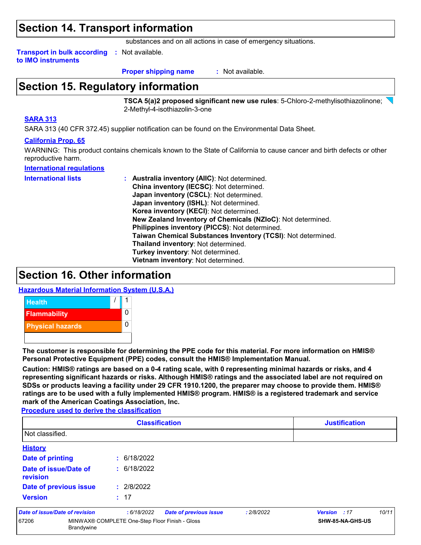### **Section 14. Transport information**

substances and on all actions in case of emergency situations.

**Transport in bulk according to IMO instruments :** Not available.

**Proper shipping name :**

: Not available.

## **Section 15. Regulatory information**

**TSCA 5(a)2 proposed significant new use rules**: 5-Chloro-2-methylisothiazolinone; 2-Methyl-4-isothiazolin-3-one

#### **SARA 313**

SARA 313 (40 CFR 372.45) supplier notification can be found on the Environmental Data Sheet.

#### **California Prop. 65**

WARNING: This product contains chemicals known to the State of California to cause cancer and birth defects or other reproductive harm.

#### **International regulations**

**International lists :**

**Australia inventory (AIIC)**: Not determined. **China inventory (IECSC)**: Not determined. **Japan inventory (CSCL)**: Not determined. **Japan inventory (ISHL)**: Not determined. **Korea inventory (KECI)**: Not determined. **New Zealand Inventory of Chemicals (NZIoC)**: Not determined. **Philippines inventory (PICCS)**: Not determined. **Taiwan Chemical Substances Inventory (TCSI)**: Not determined. **Thailand inventory**: Not determined. **Turkey inventory**: Not determined. **Vietnam inventory**: Not determined.

## **Section 16. Other information**

**Hazardous Material Information System (U.S.A.)**



**The customer is responsible for determining the PPE code for this material. For more information on HMIS® Personal Protective Equipment (PPE) codes, consult the HMIS® Implementation Manual.**

**Caution: HMIS® ratings are based on a 0-4 rating scale, with 0 representing minimal hazards or risks, and 4 representing significant hazards or risks. Although HMIS® ratings and the associated label are not required on SDSs or products leaving a facility under 29 CFR 1910.1200, the preparer may choose to provide them. HMIS® ratings are to be used with a fully implemented HMIS® program. HMIS® is a registered trademark and service mark of the American Coatings Association, Inc.**

**Procedure used to derive the classification**

| <b>Classification</b>                                                        |             |                               |                  |              | <b>Justification</b> |  |  |
|------------------------------------------------------------------------------|-------------|-------------------------------|------------------|--------------|----------------------|--|--|
| Not classified.                                                              |             |                               |                  |              |                      |  |  |
| <b>History</b>                                                               |             |                               |                  |              |                      |  |  |
| <b>Date of printing</b>                                                      | : 6/18/2022 |                               |                  |              |                      |  |  |
| Date of issue/Date of<br>revision                                            | : 6/18/2022 |                               |                  |              |                      |  |  |
| Date of previous issue                                                       | : 2/8/2022  |                               |                  |              |                      |  |  |
| <b>Version</b>                                                               | : 17        |                               |                  |              |                      |  |  |
| Date of issue/Date of revision                                               | :6/18/2022  | <b>Date of previous issue</b> | : 2/8/2022       | Version : 17 | 10/11                |  |  |
| 67206<br>MINWAX® COMPLETE One-Step Floor Finish - Gloss<br><b>Brandywine</b> |             |                               | SHW-85-NA-GHS-US |              |                      |  |  |